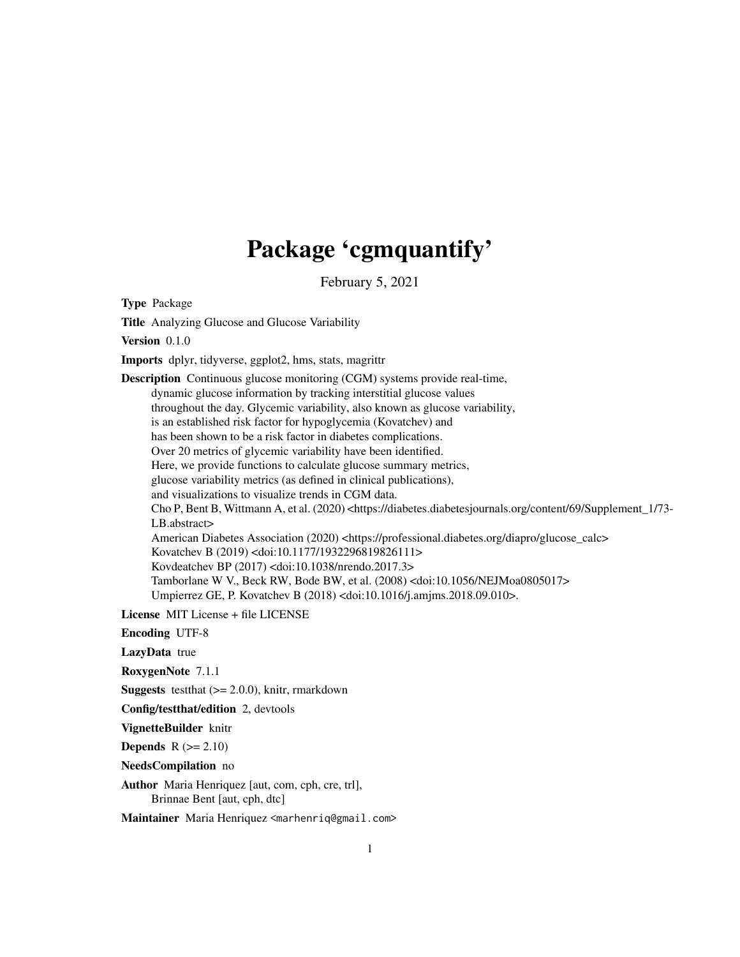## Package 'cgmquantify'

February 5, 2021

Type Package

Title Analyzing Glucose and Glucose Variability

Version 0.1.0

Imports dplyr, tidyverse, ggplot2, hms, stats, magrittr

Description Continuous glucose monitoring (CGM) systems provide real-time, dynamic glucose information by tracking interstitial glucose values throughout the day. Glycemic variability, also known as glucose variability, is an established risk factor for hypoglycemia (Kovatchev) and has been shown to be a risk factor in diabetes complications. Over 20 metrics of glycemic variability have been identified. Here, we provide functions to calculate glucose summary metrics, glucose variability metrics (as defined in clinical publications), and visualizations to visualize trends in CGM data. Cho P, Bent B, Wittmann A, et al. (2020) <https://diabetes.diabetesjournals.org/content/69/Supplement\_1/73- LB.abstract> American Diabetes Association (2020) <https://professional.diabetes.org/diapro/glucose\_calc> Kovatchev B (2019) <doi:10.1177/1932296819826111> Kovdeatchev BP (2017) <doi:10.1038/nrendo.2017.3> Tamborlane W V., Beck RW, Bode BW, et al. (2008) <doi:10.1056/NEJMoa0805017> Umpierrez GE, P. Kovatchev B (2018) <doi:10.1016/j.amjms.2018.09.010>.

License MIT License + file LICENSE

Encoding UTF-8

LazyData true

RoxygenNote 7.1.1

**Suggests** testthat  $(>= 2.0.0)$ , knitr, rmarkdown

Config/testthat/edition 2, devtools

VignetteBuilder knitr

**Depends**  $R$  ( $>= 2.10$ )

NeedsCompilation no

Author Maria Henriquez [aut, com, cph, cre, trl], Brinnae Bent [aut, cph, dtc]

Maintainer Maria Henriquez <marhenriq@gmail.com>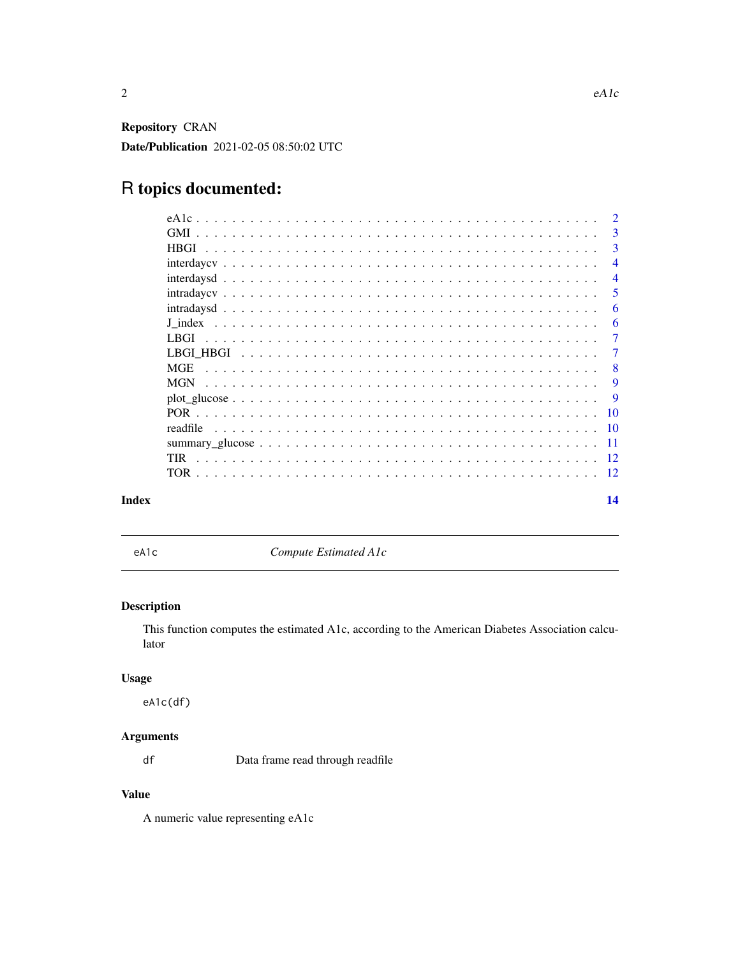<span id="page-1-0"></span>Repository CRAN Date/Publication 2021-02-05 08:50:02 UTC

## R topics documented:

|       |            | $\mathcal{D}$  |
|-------|------------|----------------|
|       |            | 3              |
|       |            | 3              |
|       |            | $\overline{4}$ |
|       |            | $\overline{4}$ |
|       |            | -5             |
|       |            | 6              |
|       |            | 6              |
|       |            | 7              |
|       |            | 7              |
|       | <b>MGE</b> | -8             |
|       | <b>MGN</b> | <b>9</b>       |
|       |            | -9             |
|       |            |                |
|       | readfile   |                |
|       |            |                |
|       | <b>TIR</b> |                |
|       |            | -12            |
| Index |            | 14             |

eA1c *Compute Estimated A1c*

## Description

This function computes the estimated A1c, according to the American Diabetes Association calculator

#### Usage

eA1c(df)

## Arguments

df Data frame read through readfile

## Value

A numeric value representing eA1c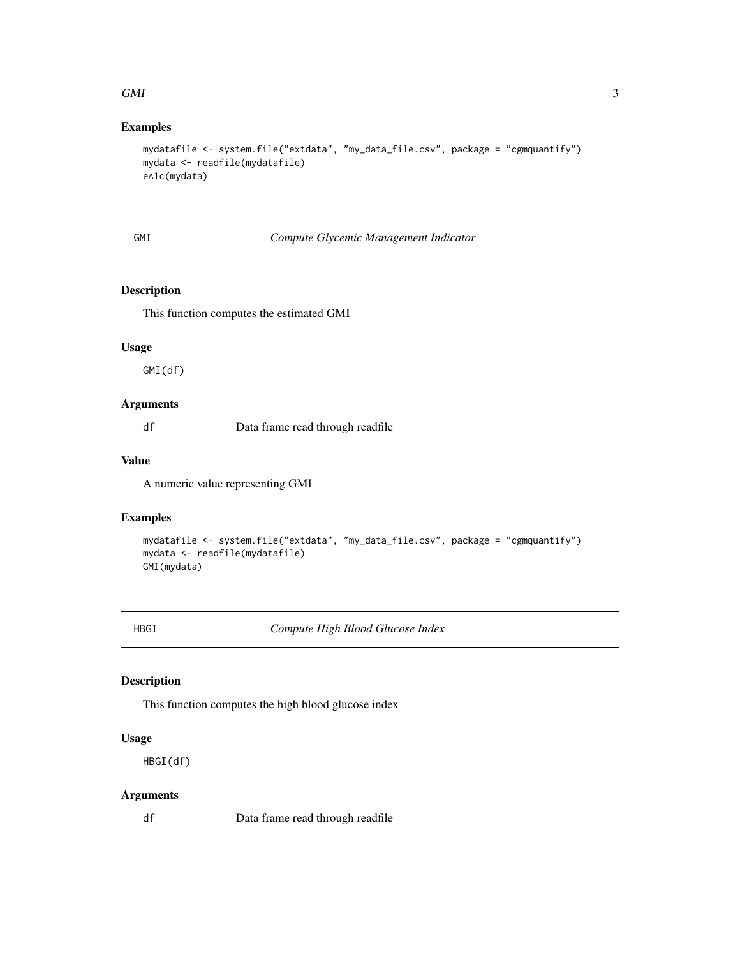#### <span id="page-2-0"></span> $GMI$  3

## Examples

```
mydatafile <- system.file("extdata", "my_data_file.csv", package = "cgmquantify")
mydata <- readfile(mydatafile)
eA1c(mydata)
```
## GMI *Compute Glycemic Management Indicator*

#### Description

This function computes the estimated GMI

#### Usage

GMI(df)

#### Arguments

df Data frame read through readfile

## Value

A numeric value representing GMI

## Examples

```
mydatafile <- system.file("extdata", "my_data_file.csv", package = "cgmquantify")
mydata <- readfile(mydatafile)
GMI(mydata)
```
HBGI *Compute High Blood Glucose Index*

## Description

This function computes the high blood glucose index

#### Usage

HBGI(df)

## Arguments

df Data frame read through readfile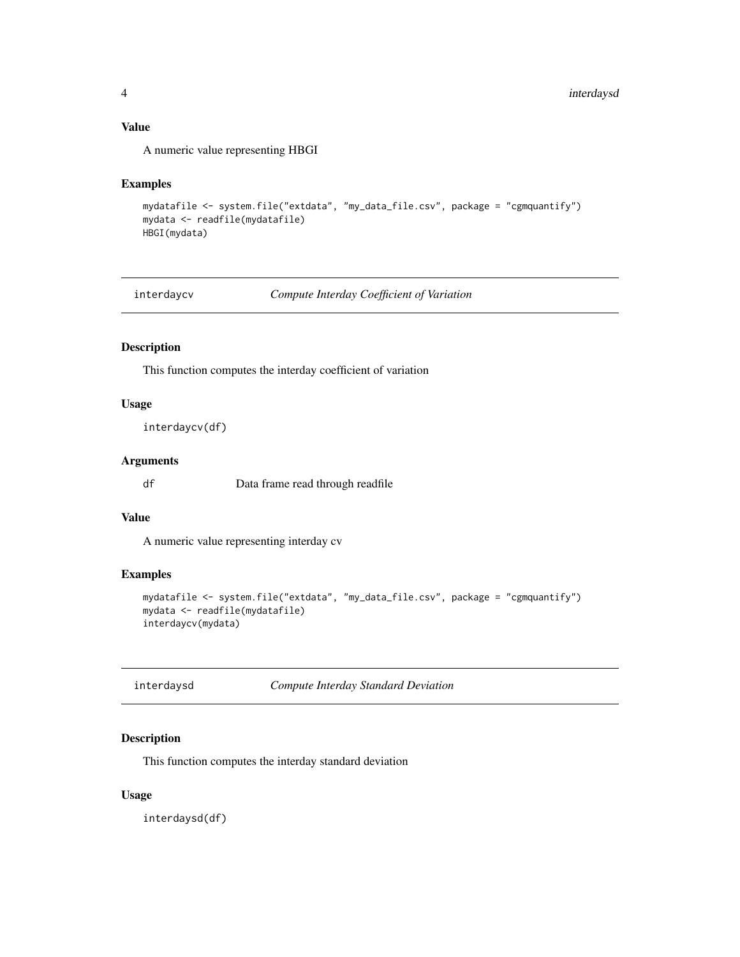#### <span id="page-3-0"></span>Value

A numeric value representing HBGI

#### Examples

```
mydatafile <- system.file("extdata", "my_data_file.csv", package = "cgmquantify")
mydata <- readfile(mydatafile)
HBGI(mydata)
```
interdaycv *Compute Interday Coefficient of Variation*

## Description

This function computes the interday coefficient of variation

#### Usage

```
interdaycv(df)
```
### Arguments

df Data frame read through readfile

## Value

A numeric value representing interday cv

## Examples

```
mydatafile <- system.file("extdata", "my_data_file.csv", package = "cgmquantify")
mydata <- readfile(mydatafile)
interdaycv(mydata)
```

| interdaysd | Compute Interday Standard Deviation |
|------------|-------------------------------------|
|------------|-------------------------------------|

## Description

This function computes the interday standard deviation

## Usage

interdaysd(df)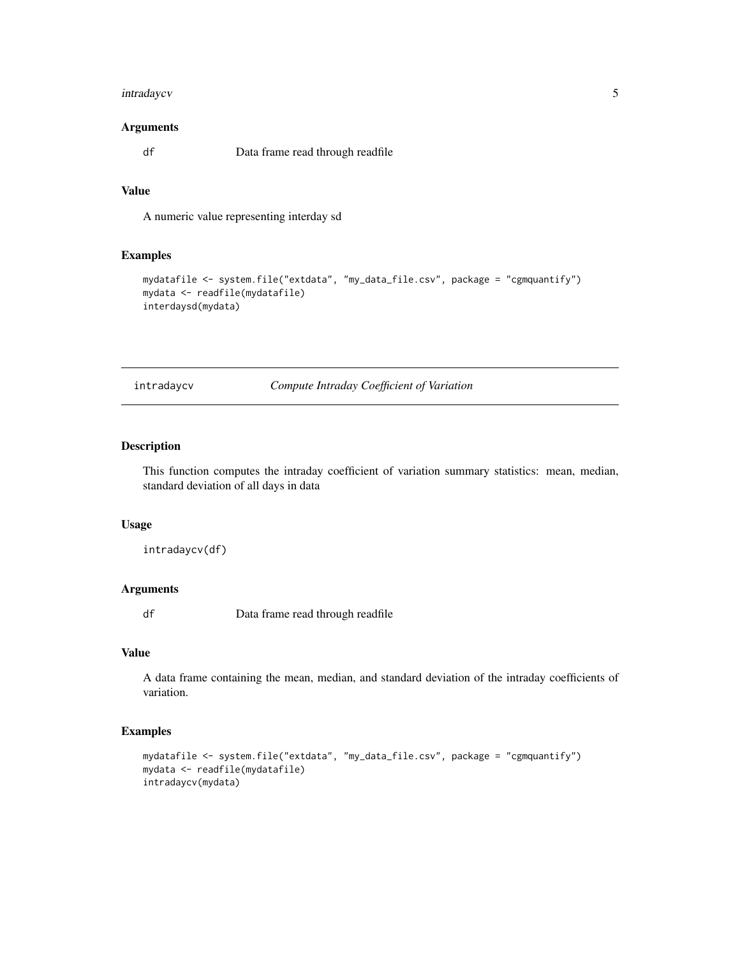## <span id="page-4-0"></span>intradaycv 5

#### Arguments

df Data frame read through readfile

#### Value

A numeric value representing interday sd

#### Examples

```
mydatafile <- system.file("extdata", "my_data_file.csv", package = "cgmquantify")
mydata <- readfile(mydatafile)
interdaysd(mydata)
```
intradaycv *Compute Intraday Coefficient of Variation*

#### Description

This function computes the intraday coefficient of variation summary statistics: mean, median, standard deviation of all days in data

#### Usage

intradaycv(df)

## Arguments

df Data frame read through readfile

#### Value

A data frame containing the mean, median, and standard deviation of the intraday coefficients of variation.

```
mydatafile <- system.file("extdata", "my_data_file.csv", package = "cgmquantify")
mydata <- readfile(mydatafile)
intradaycv(mydata)
```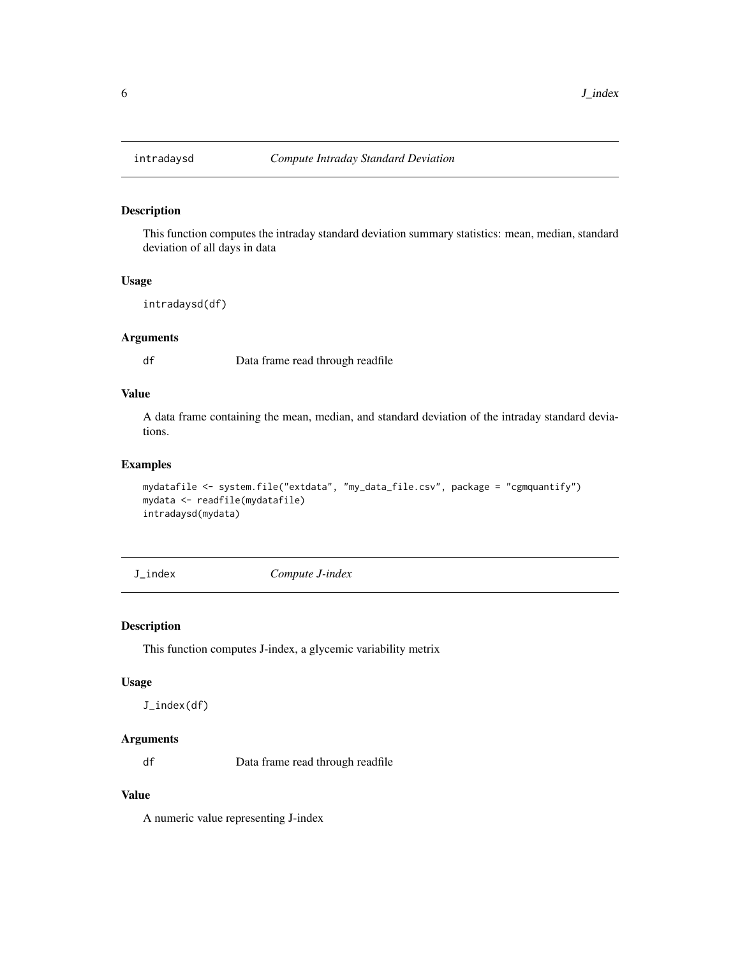<span id="page-5-0"></span>

#### Description

This function computes the intraday standard deviation summary statistics: mean, median, standard deviation of all days in data

#### Usage

intradaysd(df)

#### Arguments

df Data frame read through readfile

## Value

A data frame containing the mean, median, and standard deviation of the intraday standard deviations.

## Examples

```
mydatafile <- system.file("extdata", "my_data_file.csv", package = "cgmquantify")
mydata <- readfile(mydatafile)
intradaysd(mydata)
```
J\_index *Compute J-index*

#### Description

This function computes J-index, a glycemic variability metrix

#### Usage

J\_index(df)

#### Arguments

df Data frame read through readfile

## Value

A numeric value representing J-index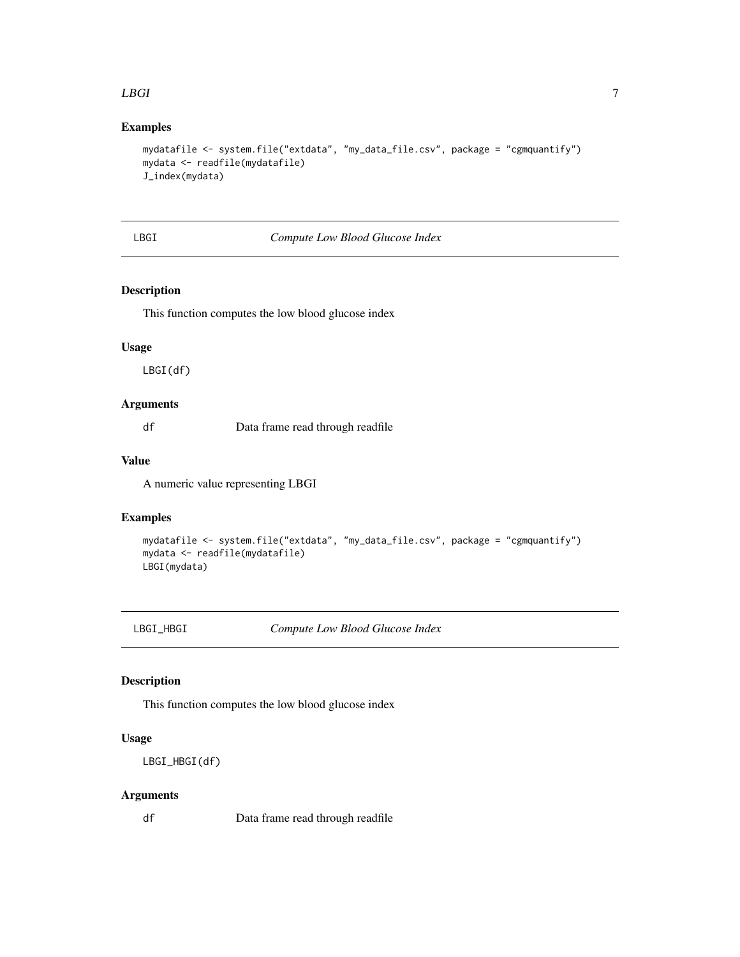#### <span id="page-6-0"></span>LBGI 7

## Examples

```
mydatafile <- system.file("extdata", "my_data_file.csv", package = "cgmquantify")
mydata <- readfile(mydatafile)
J_index(mydata)
```
## LBGI *Compute Low Blood Glucose Index*

#### Description

This function computes the low blood glucose index

#### Usage

LBGI(df)

#### Arguments

df Data frame read through readfile

## Value

A numeric value representing LBGI

## Examples

```
mydatafile <- system.file("extdata", "my_data_file.csv", package = "cgmquantify")
mydata <- readfile(mydatafile)
LBGI(mydata)
```
LBGI\_HBGI *Compute Low Blood Glucose Index*

#### Description

This function computes the low blood glucose index

## Usage

LBGI\_HBGI(df)

#### Arguments

df Data frame read through readfile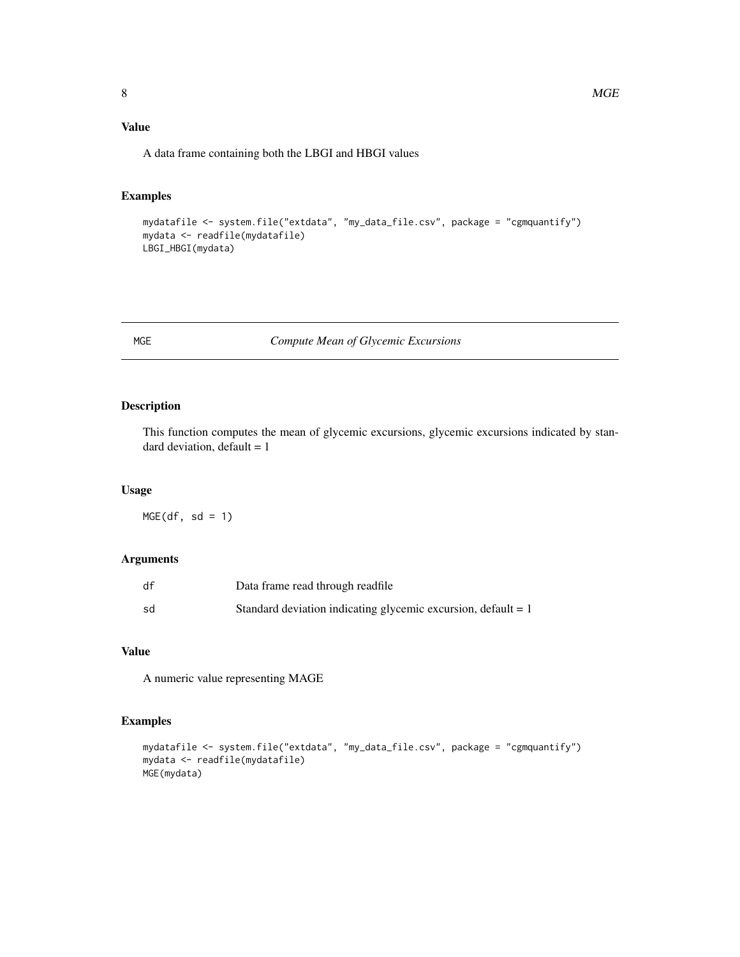## <span id="page-7-0"></span>Value

A data frame containing both the LBGI and HBGI values

### Examples

```
mydatafile <- system.file("extdata", "my_data_file.csv", package = "cgmquantify")
mydata <- readfile(mydatafile)
LBGI_HBGI(mydata)
```
## MGE *Compute Mean of Glycemic Excursions*

#### Description

This function computes the mean of glycemic excursions, glycemic excursions indicated by standard deviation, default  $= 1$ 

#### Usage

 $MGE(df, sd = 1)$ 

## Arguments

| df | Data frame read through readfile                                |
|----|-----------------------------------------------------------------|
| sd | Standard deviation indicating glycemic excursion, default $= 1$ |

## Value

A numeric value representing MAGE

```
mydatafile <- system.file("extdata", "my_data_file.csv", package = "cgmquantify")
mydata <- readfile(mydatafile)
MGE(mydata)
```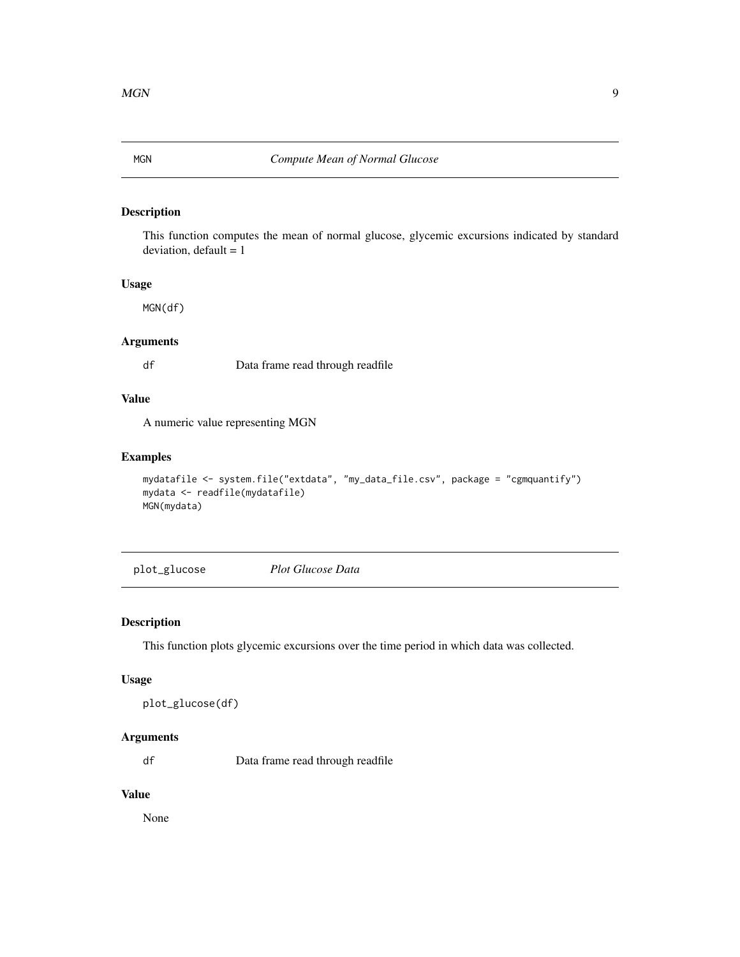## <span id="page-8-0"></span>Description

This function computes the mean of normal glucose, glycemic excursions indicated by standard  $deviation, default = 1$ 

#### Usage

MGN(df)

#### Arguments

df Data frame read through readfile

#### Value

A numeric value representing MGN

#### Examples

```
mydatafile <- system.file("extdata", "my_data_file.csv", package = "cgmquantify")
mydata <- readfile(mydatafile)
MGN(mydata)
```
plot\_glucose *Plot Glucose Data*

#### Description

This function plots glycemic excursions over the time period in which data was collected.

#### Usage

```
plot_glucose(df)
```
## Arguments

df Data frame read through readfile

## Value

None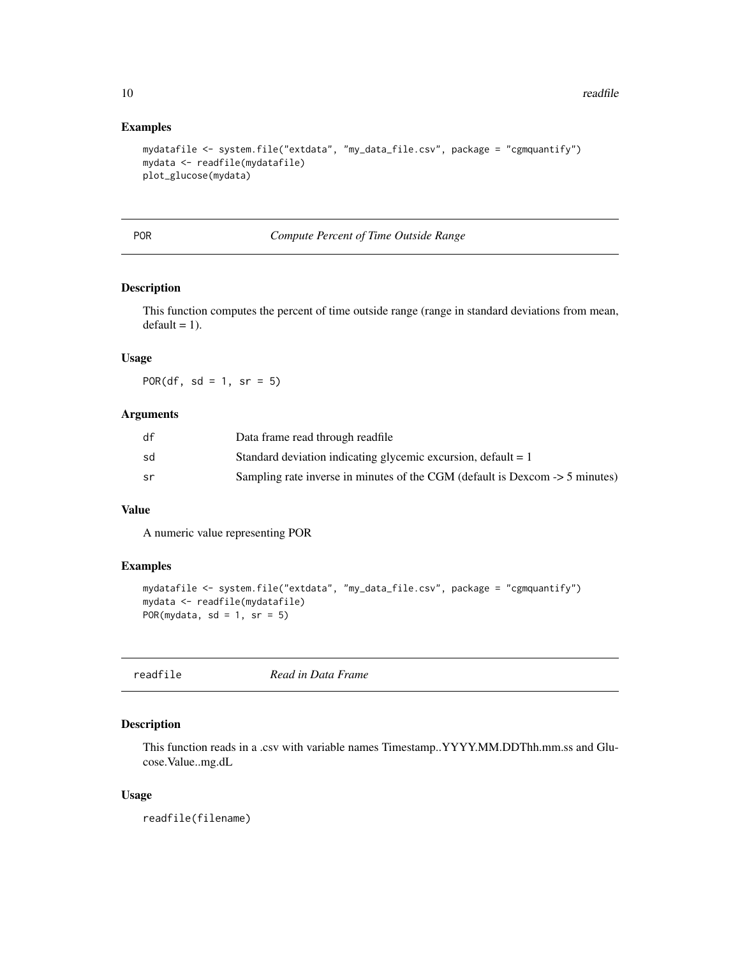#### Examples

```
mydatafile <- system.file("extdata", "my_data_file.csv", package = "cgmquantify")
mydata <- readfile(mydatafile)
plot_glucose(mydata)
```
#### POR *Compute Percent of Time Outside Range*

#### Description

This function computes the percent of time outside range (range in standard deviations from mean,  $default = 1$ .

## Usage

POR(df, sd = 1, sr =  $5$ )

#### Arguments

| df | Data frame read through readfile                                             |
|----|------------------------------------------------------------------------------|
| sd | Standard deviation indicating glycemic excursion, default $= 1$              |
| sr | Sampling rate inverse in minutes of the CGM (default is Dexcom -> 5 minutes) |

#### Value

A numeric value representing POR

### Examples

```
mydatafile <- system.file("extdata", "my_data_file.csv", package = "cgmquantify")
mydata <- readfile(mydatafile)
POR(mydata, sd = 1, sr = 5)
```

| readfile |
|----------|
|----------|

**Read in Data Frame** 

#### Description

This function reads in a .csv with variable names Timestamp..YYYY.MM.DDThh.mm.ss and Glucose.Value..mg.dL

#### Usage

readfile(filename)

<span id="page-9-0"></span>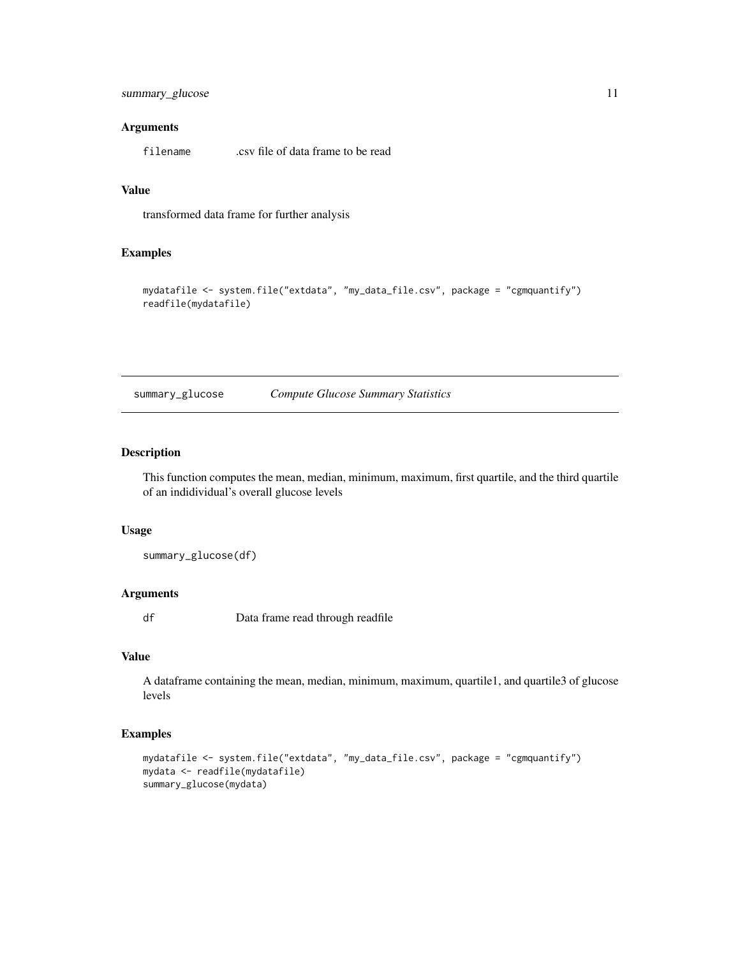## <span id="page-10-0"></span>Arguments

filename .csv file of data frame to be read

#### Value

transformed data frame for further analysis

## Examples

```
mydatafile <- system.file("extdata", "my_data_file.csv", package = "cgmquantify")
readfile(mydatafile)
```
summary\_glucose *Compute Glucose Summary Statistics*

#### Description

This function computes the mean, median, minimum, maximum, first quartile, and the third quartile of an indidividual's overall glucose levels

#### Usage

summary\_glucose(df)

#### Arguments

df Data frame read through readfile

#### Value

A dataframe containing the mean, median, minimum, maximum, quartile1, and quartile3 of glucose levels

```
mydatafile <- system.file("extdata", "my_data_file.csv", package = "cgmquantify")
mydata <- readfile(mydatafile)
summary_glucose(mydata)
```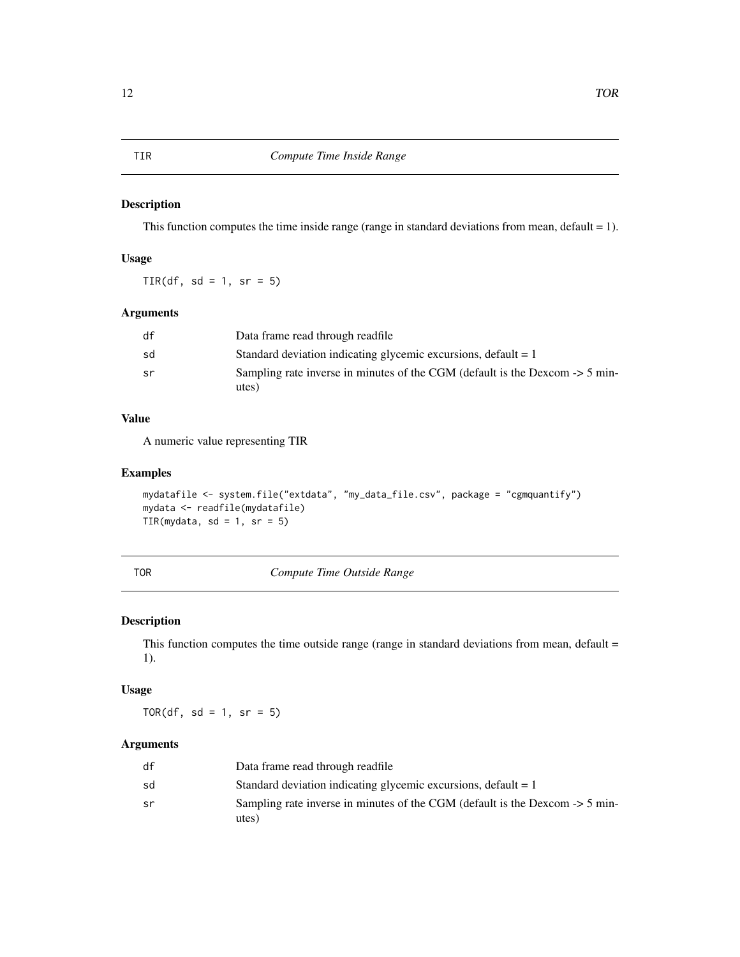#### Description

This function computes the time inside range (range in standard deviations from mean, default  $= 1$ ).

## Usage

 $TIR(df, sd = 1, sr = 5)$ 

#### Arguments

| df | Data frame read through readfile                                                 |
|----|----------------------------------------------------------------------------------|
| sd | Standard deviation indicating glycemic excursions, default $= 1$                 |
| sr | Sampling rate inverse in minutes of the CGM (default is the Dexcom $\geq 5$ min- |
|    | utes)                                                                            |

## Value

A numeric value representing TIR

#### Examples

```
mydatafile <- system.file("extdata", "my_data_file.csv", package = "cgmquantify")
mydata <- readfile(mydatafile)
TIR(mydata, sd = 1, sr = 5)
```
TOR *Compute Time Outside Range*

## Description

This function computes the time outside range (range in standard deviations from mean, default = 1).

## Usage

TOR(df, sd = 1, sr =  $5$ )

## Arguments

| df | Data frame read through readfile                                                 |
|----|----------------------------------------------------------------------------------|
| sd | Standard deviation indicating glycemic excursions, default $= 1$                 |
| sr | Sampling rate inverse in minutes of the CGM (default is the Dexcom $\geq 5$ min- |
|    | utes)                                                                            |

<span id="page-11-0"></span>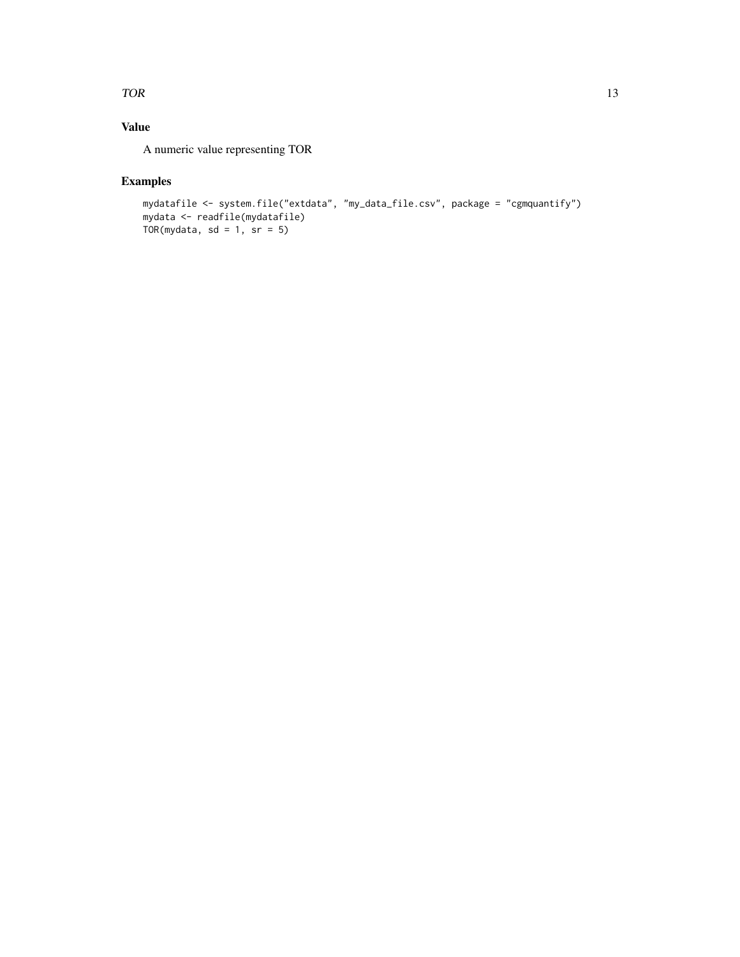#### $\Gamma$  TOR  $\Gamma$  13

## Value

A numeric value representing TOR

```
mydatafile <- system.file("extdata", "my_data_file.csv", package = "cgmquantify")
mydata <- readfile(mydatafile)
TOR(mydata, sd = 1, sr = 5)
```